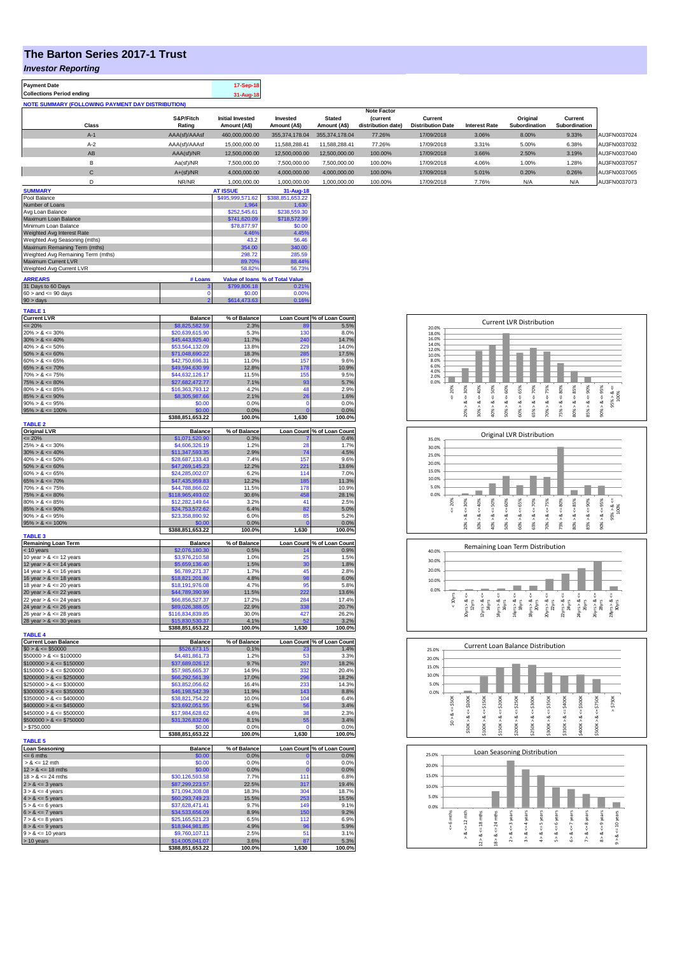## **The Barton Series 2017-1 Trust**

*Investor Reporting*

| <b>Payment Date</b><br><b>Collections Period ending</b>  |                     | 17-Sep-18<br>31-Aug-18                  |                          |                               |                                       |                                     |                      |                           |                          |              |
|----------------------------------------------------------|---------------------|-----------------------------------------|--------------------------|-------------------------------|---------------------------------------|-------------------------------------|----------------------|---------------------------|--------------------------|--------------|
| <b>NOTE SUMMARY (FOLLOWING PAYMENT DAY DISTRIBUTION)</b> |                     |                                         |                          |                               |                                       |                                     |                      |                           |                          |              |
|                                                          |                     |                                         |                          |                               | <b>Note Factor</b>                    |                                     |                      |                           |                          |              |
| Class                                                    | S&P/Fitch<br>Rating | <b>Initial Invested</b><br>Amount (A\$) | Invested<br>Amount (A\$) | <b>Stated</b><br>Amount (A\$) | <i>(current</i><br>distribution date) | Current<br><b>Distribution Date</b> | <b>Interest Rate</b> | Original<br>Subordination | Current<br>Subordination |              |
| $A-1$                                                    | AAA(sf)/AAAsf       | 460,000,000.00                          | 355.374.178.04           | 355.374.178.04                | 77.26%                                | 17/09/2018                          | 3.06%                | 8.00%                     | 9.33%                    | AU3FN0037024 |
| $A-2$                                                    | AAA(sf)/AAAsf       | 15,000,000,00                           | 11.588.288.41            | 11.588.288.41                 | 77.26%                                | 17/09/2018                          | 3.31%                | 5.00%                     | 6.38%                    | AU3FN0037032 |
| AB                                                       | AAA(sf)/NR          | 12,500,000,00                           | 12,500,000,00            | 12,500,000.00                 | 100.00%                               | 17/09/2018                          | 3.66%                | 2.50%                     | 3.19%                    | AU3FN0037040 |
| B                                                        | Aa(sf)/NR           | 7,500,000.00                            | 7,500,000.00             | 7,500,000.00                  | 100.00%                               | 17/09/2018                          | 4.06%                | 1.00%                     | 1.28%                    | AU3FN0037057 |
| C                                                        | $A+(sf)/NR$         | 4.000.000.00                            | 4.000.000.00             | 4.000.000.00                  | 100.00%                               | 17/09/2018                          | 5.01%                | 0.20%                     | 0.26%                    | AU3FN0037065 |
|                                                          | NR/NR               | 1.000.000.00                            | 1.000.000.00             | 1.000.000.00                  | 100.00%                               | 17/09/2018                          | 7.76%                | N/A                       | N/A                      | AU3FN0037073 |

| <b>SUMMARY</b>                     |         | <b>AT ISSUE</b>  | 31-Aug-18                       |
|------------------------------------|---------|------------------|---------------------------------|
| Pool Balance                       |         | \$495,999,571.62 | \$388,851,653.22                |
| Number of Loans                    |         | 1.964            | 1.630                           |
| Avg Loan Balance                   |         | \$252,545.61     | \$238,559.30                    |
| Maximum Loan Balance               |         | \$741,620.09     | \$718,572.99                    |
| Minimum Loan Balance               |         | \$78,877.97      | \$0.00                          |
| Weighted Avg Interest Rate         |         | 4.46%            | 4.45%                           |
| Weighted Avg Seasoning (mths)      |         | 43.2             | 56.46                           |
| Maximum Remaining Term (mths)      |         | 354.00           | 340.00                          |
| Weighted Avg Remaining Term (mths) |         | 298.72           | 285.59                          |
| Maximum Current LVR                |         | 89.70%           | 88.44%                          |
| Weighted Avg Current LVR           |         | 58.82%           | 56.73%                          |
| <b>ARREARS</b>                     | # Loans |                  | Value of loans % of Total Value |
| 31 Days to 60 Days                 | 3       | \$799,806.18     | 0.21%                           |
| $60 >$ and $\leq 90$ days          | 0       | \$0.00           | 0.00%                           |
| $90 >$ days                        | 2       | \$614,473.63     | 0.16%                           |

| <b>TABLE 1</b>                                                                                                                                                                   |                                     |                      |                               |                                    |
|----------------------------------------------------------------------------------------------------------------------------------------------------------------------------------|-------------------------------------|----------------------|-------------------------------|------------------------------------|
| TABLE 1<br>Current LVR<br>20% > & <= 30%<br>30% > & <= 40%<br>40% > & <= 60%<br>50% > & <= 60%<br>60% > & <= 65%<br>60% > & <= 65%                                               | <b>Balance</b>                      | % of Balance         |                               | Loan Count % of Loan Count         |
|                                                                                                                                                                                  | \$8,825,582.59                      | 2.3%                 | 89                            | 5.5%                               |
|                                                                                                                                                                                  | \$20,639,615.90                     | 5.3%                 | 130                           | 8.0%                               |
|                                                                                                                                                                                  | \$45,443,925.40                     | 11.7%<br>13.8%       | 240<br>229                    | 14.7%<br>14.0%                     |
|                                                                                                                                                                                  | \$53,564,132.09<br>\$71,048,690.22  | 18.3%                | 285                           | 17.5%                              |
|                                                                                                                                                                                  | \$42,750,696.31                     | 11.0%                | 157                           | 9.6%                               |
|                                                                                                                                                                                  | \$49,594,630.99                     | 12.8%                | 178                           | 10.9%                              |
| $65\% > 8 \le 70\%$<br>70% > & $\le 75\%$                                                                                                                                        | \$44,632,126.17                     | 11.5%                | 155                           | 9.5%                               |
| $75\% > 8 \le 80\%$                                                                                                                                                              | \$27,682,472.77                     | 7.1%                 | 93                            | 5.7%                               |
| $80\% > 8 \le 85\%$                                                                                                                                                              | \$16,363,793.12                     | 4.2%                 | 48                            | 2.9%                               |
| $85\% > 8 \le 90\%$                                                                                                                                                              | \$8,305,987.66                      | 2.1%                 | 26                            | 1.6%                               |
| $90\% > 8 \le 95\%$                                                                                                                                                              | \$0.00                              | 0.0%                 | $\Omega$                      | 0.0%                               |
| $95\% > 8 \le 100\%$                                                                                                                                                             | \$0.00                              | 0.0%                 | $\Omega$                      | 0.0%                               |
|                                                                                                                                                                                  | \$388,851,653.22                    | 100.0%               | 1,630                         | 100.0%                             |
| <b>TABLE 2</b>                                                                                                                                                                   |                                     |                      |                               |                                    |
| Original LVR<br>$\leq$ 20%                                                                                                                                                       | <b>Balance</b><br>\$1,071,520.90    | % of Balance<br>0.3% |                               | Loan Count % of Loan Count<br>0.4% |
| $25\% > 8 \le 30\%$                                                                                                                                                              | \$4,606,326.19                      | 1.2%                 | 28                            | 1.7%                               |
|                                                                                                                                                                                  | \$11,347,593.35                     | 2.9%                 | 74                            | 4.5%                               |
| $30\% > 8 \le 40\%$<br>$40\% > 8 \le 50\%$                                                                                                                                       | \$28,687,133.43                     | 7.4%                 | 157                           | 9.6%                               |
| $50\% > 8 \le 60\%$                                                                                                                                                              | \$47,269,145.23                     | 12.2%                | 221                           | 13.6%                              |
| $60\% > 8 \le 65\%$                                                                                                                                                              | \$24,285,002.07                     | 6.2%                 | 114                           | 7.0%                               |
| $65\% > 8 \le 70\%$                                                                                                                                                              | \$47,435,959.83                     | 12.2%                | 185                           | 11.3%                              |
| $70\% > 8 \le 75\%$                                                                                                                                                              | \$44,788,866.02                     | 11.5%                | 178                           | 10.9%                              |
| $75\% > 8 \le 80\%$                                                                                                                                                              | \$118,965,493.02                    | 30.6%                | 458                           | 28.1%                              |
| $80\% > 8 \le 85\%$                                                                                                                                                              | \$12,282,149.64                     | 3.2%                 | 41                            | 2.5%                               |
| $85\% > 8 \le 90\%$                                                                                                                                                              | \$24,753,572.62                     | 6.4%                 | 82                            | 5.0%                               |
| $90\% > 8 \le 95\%$                                                                                                                                                              | \$23,358,890.92                     | 6.0%                 | 85                            | 5.2%                               |
| $95\% > 8 \le 100\%$                                                                                                                                                             | \$0.00                              | 0.0%                 |                               | 0.0%                               |
| <b>TABLE 3</b>                                                                                                                                                                   | \$388,851,653.22                    | 100.0%               | 1,630                         | 100.0%                             |
|                                                                                                                                                                                  | <b>Balance</b>                      | % of Balance         | <b>Loan Count</b>             | % of Loan Count                    |
| Remaining Loan Term<br>$\leq 10$ years<br>$10$ year $> 8 \leq 12$ years                                                                                                          | \$2,076,180.30                      | 0.5%                 | 14                            | 0.9%                               |
|                                                                                                                                                                                  | \$3,976,210.58                      | 1.0%                 | 25                            | 1.5%                               |
| $12 \text{ year} > 8 \le 14 \text{ years}$<br>$14 \text{ year} > 8 \le 16 \text{ years}$                                                                                         | \$5,659,136.40                      | 1.5%                 | 30                            | 1.8%                               |
|                                                                                                                                                                                  | \$6,789,271.37                      | 1.7%                 | 45                            | 2.8%                               |
| 16 year $> 8 \le 18$ years                                                                                                                                                       | \$18,821,201.86                     | 4.8%                 | 98                            | 6.0%                               |
| 18 year > $8 \le 20$ years                                                                                                                                                       | \$18,191,976.08                     | 4.7%                 | 95                            | 5.8%                               |
| 20 year $> 8 \le 22$ years                                                                                                                                                       | \$44,789,390.99                     | 11.5%                | 222                           | 13.6%                              |
| 22 year $> 8 \le 24$ years                                                                                                                                                       | \$66,856,527.37                     | 17.2%                | 284                           | 17.4%                              |
| 24 year $> 8 \le 26$ years                                                                                                                                                       | \$89,026,388.05                     | 22.9%                | 338                           | 20.7%                              |
| 26 year $> 8 \le 28$ years                                                                                                                                                       | \$116,834,839.85                    | 30.0%                | 427                           | 26.2%                              |
| 28 year $> 8 \le 30$ years                                                                                                                                                       | \$15,830,530.37<br>\$388,851,653.22 | 4.1%<br>100.0%       | 52<br>1,630                   | 3.2%<br>100.0%                     |
| <b>TABLE 4</b>                                                                                                                                                                   |                                     |                      |                               |                                    |
|                                                                                                                                                                                  | <b>Balance</b>                      | % of Balance         |                               | Loan Count % of Loan Count         |
| Current Loan Balance<br>$$0 > 8 \le $50000$<br>$$50000 > 8 \le $100000$                                                                                                          | \$526,673.15                        | 0.1%                 | 23                            | 1.4%                               |
|                                                                                                                                                                                  | \$4,481,861.73                      | 1.2%                 | 53                            | 3.3%                               |
|                                                                                                                                                                                  | \$37,689,026.12                     | 9.7%                 | 297                           | 18.2%                              |
|                                                                                                                                                                                  | \$57,985,665.37                     | 14.9%                | 332                           | 20.4%                              |
|                                                                                                                                                                                  | \$66,292,561.39                     | 17.0%                | 296                           | 18.2%                              |
|                                                                                                                                                                                  | \$63,852,056.62                     | 16.4%                | 233                           | 14.3%                              |
|                                                                                                                                                                                  | \$46,198,542.39                     | 11.9%                | 143                           | 8.8%                               |
| $$30000 > \& e = $150000$<br>$$150000 > \& e = $150000$<br>$$150000 > \& e = $250000$<br>$$250000 > \& e = $250000$<br>$$300000 > \& e = $400000$<br>$$3500000 > \& e = $400000$ | \$38,821,754.22                     | 10.0%                | 104                           | 6.4%                               |
| $$400000 > 8 \le $450000$                                                                                                                                                        | \$23,692,051.55                     |                      | 56                            | 3.4%                               |
| $$450000 > 8 \le $500000$                                                                                                                                                        |                                     | 6.1%                 |                               |                                    |
|                                                                                                                                                                                  | \$17,984,628.62                     | 4.6%                 | 38                            | 2.3%                               |
| $$500000 > 8 \le $750000$                                                                                                                                                        | \$31,326,832.06                     | 8.1%                 | 55                            | 3.4%                               |
| > \$750,000                                                                                                                                                                      | \$0.00                              | 0.0%                 |                               | 0.0%                               |
|                                                                                                                                                                                  | \$388,851,653.22                    | 100.0%               | 1,630                         | 100.0%                             |
| <b>TABLE 5</b>                                                                                                                                                                   |                                     |                      |                               |                                    |
| <b>Loan Seasoning</b>                                                                                                                                                            | <b>Balance</b>                      | % of Balance         |                               | Loan Count % of Loan Count         |
| $= 6$ mths                                                                                                                                                                       | \$0.00                              | 0.0%                 | $\overline{0}$                | 0.0%                               |
| $> 8 \le 12$ mth                                                                                                                                                                 | \$0.00                              | 0.0%                 | $\mathbf 0$<br>$\overline{0}$ | 0.0%                               |
|                                                                                                                                                                                  | \$0.00<br>\$30,126,593.58           | 0.0%<br>7.7%         | 111                           | 0.0%<br>6.8%                       |
| $12 > 8 \le 18 \text{ mths}$<br>$18 > 8 \le 24 \text{ mths}$                                                                                                                     | \$87,299,223.57                     | 22.5%                | 317                           | 19.4%                              |
|                                                                                                                                                                                  | \$71,094,308.08                     | 18.3%                | 304                           | 18.7%                              |
|                                                                                                                                                                                  | \$60,293,749.23                     | 15.5%                | 253                           | 15.5%                              |
|                                                                                                                                                                                  | \$37,628,471.41                     | 9.7%                 | 149                           | 9.1%                               |
|                                                                                                                                                                                  | \$34,533,656.09                     | 8.9%                 | 150                           | 9.2%                               |
|                                                                                                                                                                                  | \$25,165,521.23                     | 6.5%                 | 112                           | 6.9%                               |
| $2 > 8 < 3$ years<br>$3 > 8 < 4$ years<br>$3 > 8 < 4$ years<br>$4 > 8 < 5$ years<br>$5 > 8 < 6$ years<br>$6 > 8 < 7$ years<br>$7 > 8 < 8$ years                                  | \$18,944,981.85                     | 4.9%                 | 96                            | 5.9%                               |
| $8 > 8 \le 9$ years<br>$9 > 8 \le 10$ years                                                                                                                                      | \$9,760,107.11                      | 2.5%                 | 51                            | 3.1%                               |
| > 10 years                                                                                                                                                                       | \$14,005,041.07<br>\$388,851,653.22 | 3.6%<br>100.0%       | 87<br>1,630                   | 5.3%<br>100.0%                     |

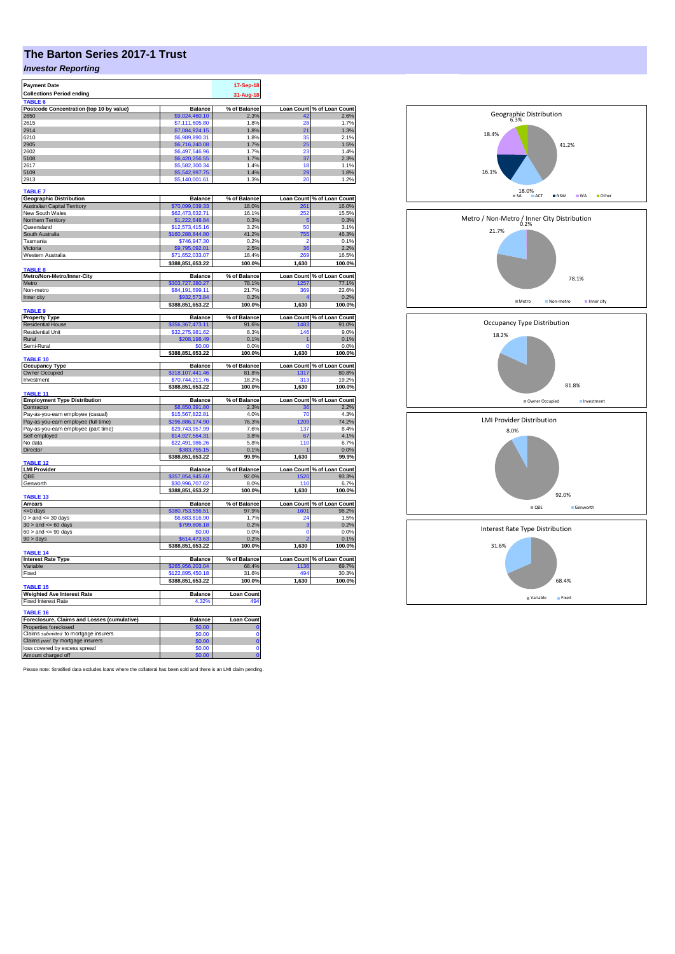## **The Barton Series 2017-1 Trust**

## *Investor Reporting*

| <b>Payment Date</b>                         |                                   | 17-Sep-18         |              |                                         |
|---------------------------------------------|-----------------------------------|-------------------|--------------|-----------------------------------------|
| <b>Collections Period ending</b>            |                                   | 31-Aug-18         |              |                                         |
| TABLE <sub>6</sub>                          |                                   |                   |              |                                         |
| Postcode Concentration (top 10 by value)    | <b>Balance</b>                    | % of Balance      |              | Loan Count % of Loan Count              |
| 2650                                        | \$9,024,460.10                    | 2.3%              |              | 2.6%                                    |
| 2615                                        | \$7,111,605.80                    | 1.8%              | 28           | 1.7%                                    |
| 2914<br>6210                                | \$7,084,924.15                    | 1.8%<br>1.8%      | 21<br>35     | 1.3%<br>2.1%                            |
| 2905                                        | \$6,989,890.31<br>\$6,716,240.08  | 1.7%              | 25           | 1.5%                                    |
| 2602                                        | \$6,497,546.96                    | 1.7%              | 23           | 1.4%                                    |
| 5108                                        | \$6,420,256.55                    | 1.7%              | 37           | 2.3%                                    |
| 2617                                        | \$5,582,300.34                    | 1.4%              | 18           | 1.1%                                    |
| 5109                                        | \$5,542,997.75                    | 1.4%              | 29           | 1.8%                                    |
| 2913                                        | \$5,140,001.61                    | 1.3%              | 20           | 1.2%                                    |
| <b>TABLE 7</b>                              |                                   |                   |              |                                         |
| <b>Geographic Distribution</b>              | <b>Balance</b>                    | % of Balance      |              |                                         |
| <b>Australian Capital Territory</b>         | \$70,099,039,33                   | 18.0%             |              | Loan Count % of Loan Count<br>261 16.0% |
| New South Wales                             | \$62,473,632.71                   | 16.1%             | 252          | 15.5%                                   |
| Northern Territory                          | \$1,222,648.84                    | 0.3%              | 5            | 0.3%                                    |
| Queensland                                  | \$12,573,415.16                   | 3.2%              | 50           | 3.1%                                    |
| South Australia                             | \$160,288,844.80                  | 41.2%             | 755          | 46.3%                                   |
| Tasmania                                    | \$746,947.30                      | 0.2%              | 2            | 0.1%                                    |
| Victoria                                    | \$9,795,092.01                    | 2.5%              | 36           | 2.2%                                    |
| Western Australia                           | \$71,652,033.07                   | 18.4%             | 269          | 16.5%                                   |
| <b>TABLE 8</b>                              | \$388,851,653.22                  | 100.0%            | 1,630        | 100.0%                                  |
| Metro/Non-Metro/Inner-City                  | <b>Balance</b>                    | % of Balance      |              | Loan Count % of Loan Count              |
| Metro                                       | \$303,727,380.27                  | 78.1%             | 1257         | 77.1%                                   |
| Non-metro                                   | \$84,191,699.11                   | 21.7%             | 369          | 22.6%                                   |
| Inner city                                  | \$932,573.84                      | 0.2%              |              | 0.2%                                    |
|                                             | \$388,851,653.22                  | 100.0%            | 1,630        | 100.0%                                  |
| TABLE <sub>9</sub><br><b>Property Type</b>  | <b>Balance</b>                    | % of Balance      |              | Loan Count % of Loan Count              |
| <b>Residential House</b>                    | \$356,367,473.11                  | 91.6%             | 1483         | 91.0%                                   |
| <b>Residential Unit</b>                     | \$32,275,981.62                   | 8.3%              | 146          | 9.0%                                    |
| Rural                                       | \$208,198.49                      | 0.1%              |              | 0.1%                                    |
| Semi-Rural                                  | \$0.00                            | 0.0%              | 0            | 0.0%                                    |
|                                             | \$388,851,653.22                  | 100.0%            | 1,630        | 100.0%                                  |
| <b>TABLE 10</b>                             |                                   |                   |              |                                         |
| <b>Occupancy Type</b>                       | <b>Balance</b>                    | % of Balance      |              | Loan Count % of Loan Count              |
| Owner Occupied                              | \$318,107,441.46                  | 81.8%             | 1317         | 80.8%                                   |
| Investment                                  | \$70,744,211.76                   | 18.2%             | 313          | 19.2%                                   |
| TABLE 11                                    | \$388,851,653.22                  | 100.0%            | 1,630        | 100.0%                                  |
| <b>Employment Type Distribution</b>         | <b>Balance</b>                    | % of Balance      |              | Loan Count % of Loan Count              |
| Contractor                                  | \$8,850,391.80                    | 2.3%              |              | 2.2%                                    |
| Pay-as-you-earn employee (casual)           | \$15,567,822.81                   | 4.0%              | 70           | 4.3%                                    |
| Pay-as-you-earn employee (full time)        | 296,886,174.90                    | 76.3%             | 1209         | 74.2%                                   |
| Pay-as-you-earn employee (part time)        | \$29,743,957.99                   | 7.6%              | 137          | 8.4%                                    |
| Self employed                               | \$14,927,564.31                   | 3.8%              | 67           | 4.1%                                    |
| No data                                     | \$22,491,986.26                   | 5.8%              | 110          | 6.7%                                    |
| Director                                    | \$383,755.15<br>\$388,851,653.22  | 0.1%<br>99.9%     | 1,630        | 0.0%<br>99.9%                           |
| TABLE 12                                    |                                   |                   |              |                                         |
| <b>LMI Provider</b>                         | <b>Balance</b>                    | % of Balance      |              | Loan Count % of Loan Count              |
| QBE                                         | \$357,854,945.60                  | 92.0%             | 1520         | 93.3%                                   |
| Genworth                                    | 30,996,707.62<br>\$388,851,653.22 | 8.0%<br>100.0%    | 110<br>1,630 | 6.7%<br>100.0%                          |
| <b>TABLE 13</b>                             |                                   |                   |              |                                         |
| <b>Arrears</b>                              | <b>Balance</b>                    | % of Balance      |              | Loan Count % of Loan Count              |
| $= 0$ days                                  | \$380,753,556.51                  | 97.9%             | 1601         | 98.2%                                   |
| $0 >$ and $\lt = 30$ days                   | \$6,683,816.90                    | 1.7%              | 24           | 1.5%                                    |
| $30$ > and <= 60 days                       | \$799,806.18<br>\$0.00            | 0.2%<br>0.0%      | 3            | 0.2%<br>0.0%                            |
| $60 >$ and $\leq 90$ days<br>90 > days      | \$614,473.63                      | 0.2%              | 0            | 0.1%                                    |
|                                             | \$388,851,653.22                  | 100.0%            | 1,630        | 100.0%                                  |
| TABLE 14                                    |                                   |                   |              |                                         |
| <b>Interest Rate Type</b>                   | <b>Balance</b>                    | % of Balance      |              | Loan Count % of Loan Count              |
| Variable                                    | \$265,956,203.04                  | 68.4%             | 1136         | 69.7%                                   |
| Fixed                                       | \$122,895,450.18                  | 31.6%             | 494          | 30.3%                                   |
| TABLE 15                                    | \$388,851,653.22                  | 100.0%            | 1,630        | 100.0%                                  |
| <b>Weighted Ave Interest Rate</b>           | <b>Balance</b>                    | <b>Loan Count</b> |              |                                         |
| <b>Fixed Interest Rate</b>                  | 4.32%                             | 494               |              |                                         |
| <b>TABLE 16</b>                             |                                   |                   |              |                                         |
| Foreclosure, Claims and Losses (cumulative) | Balance                           | Loan Count        |              |                                         |
| Properties foreclosed                       | \$0.00                            |                   |              |                                         |
| Claims submitted to mortgage insurers       | \$0.00                            | Ō                 |              |                                         |
| Claims paid by mortgage insurers            | \$0.00                            | Ō                 |              |                                         |
| loss covered by excess spread               | \$0.00                            | Ō                 |              |                                         |
| Amount charged off                          | \$0.00                            | ö                 |              |                                         |

Please note: Stratified data excludes loans where the collateral has been sold and there is an LMI claim pending.